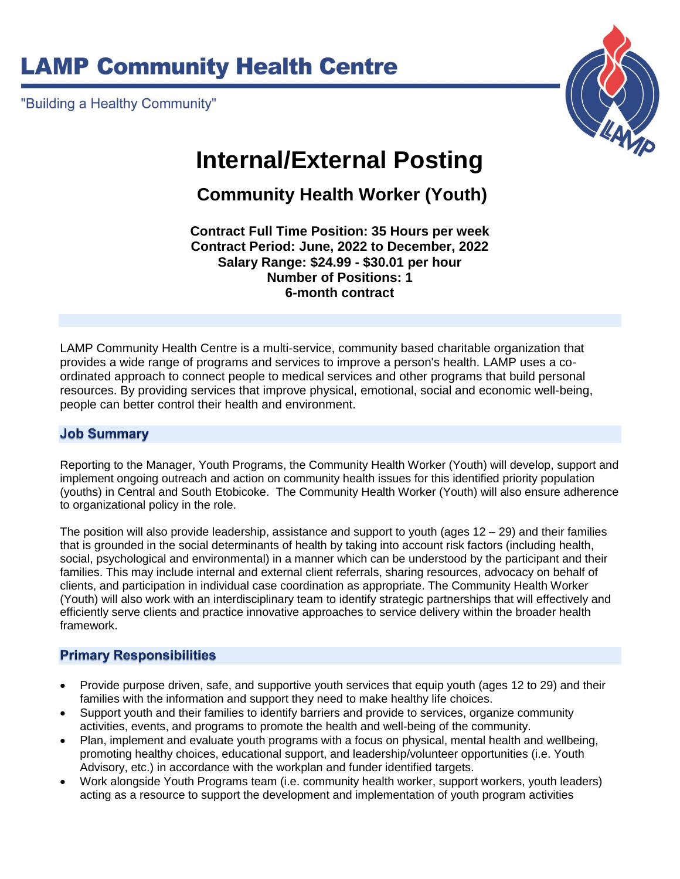# **LAMP Community Health Centre**

"Building a Healthy Community"



## **Internal/External Posting**

**Community Health Worker (Youth)**

**Contract Full Time Position: 35 Hours per week Contract Period: June, 2022 to December, 2022 Salary Range: \$24.99 - \$30.01 per hour Number of Positions: 1 6-month contract**

LAMP Community Health Centre is a multi-service, community based charitable organization that provides a wide range of programs and services to improve a person's health. LAMP uses a coordinated approach to connect people to medical services and other programs that build personal resources. By providing services that improve physical, emotional, social and economic well-being, people can better control their health and environment.

## **Job Summary**

Reporting to the Manager, Youth Programs, the Community Health Worker (Youth) will develop, support and implement ongoing outreach and action on community health issues for this identified priority population (youths) in Central and South Etobicoke. The Community Health Worker (Youth) will also ensure adherence to organizational policy in the role.

The position will also provide leadership, assistance and support to youth (ages  $12 - 29$ ) and their families that is grounded in the social determinants of health by taking into account risk factors (including health, social, psychological and environmental) in a manner which can be understood by the participant and their families. This may include internal and external client referrals, sharing resources, advocacy on behalf of clients, and participation in individual case coordination as appropriate. The Community Health Worker (Youth) will also work with an interdisciplinary team to identify strategic partnerships that will effectively and efficiently serve clients and practice innovative approaches to service delivery within the broader health framework.

### **Primary Responsibilities**

- Provide purpose driven, safe, and supportive youth services that equip youth (ages 12 to 29) and their families with the information and support they need to make healthy life choices.
- Support youth and their families to identify barriers and provide to services, organize community activities, events, and programs to promote the health and well-being of the community.
- Plan, implement and evaluate youth programs with a focus on physical, mental health and wellbeing, promoting healthy choices, educational support, and leadership/volunteer opportunities (i.e. Youth Advisory, etc.) in accordance with the workplan and funder identified targets.
- Work alongside Youth Programs team (i.e. community health worker, support workers, youth leaders) acting as a resource to support the development and implementation of youth program activities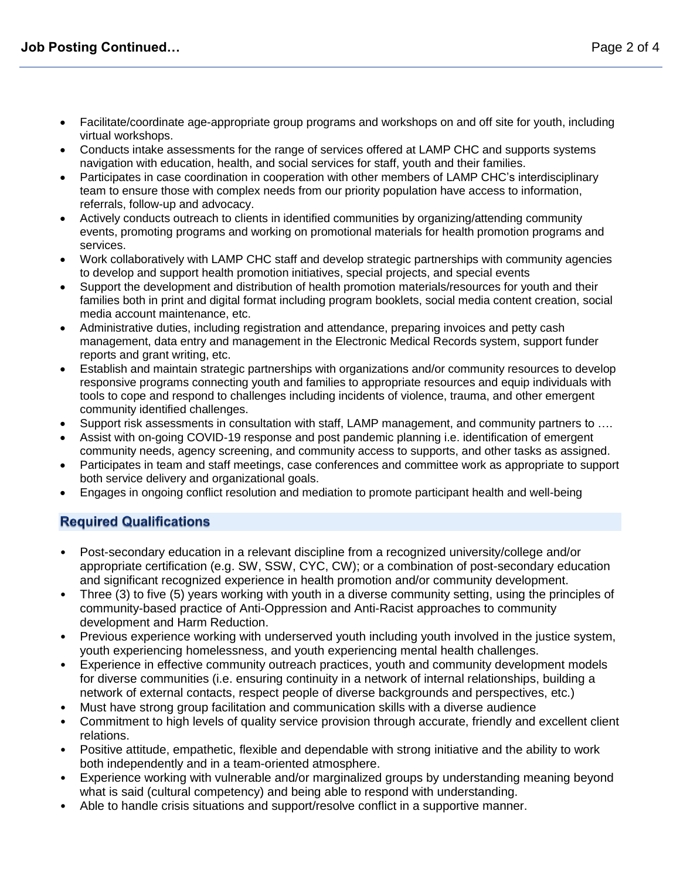- Facilitate/coordinate age-appropriate group programs and workshops on and off site for youth, including virtual workshops.
- Conducts intake assessments for the range of services offered at LAMP CHC and supports systems navigation with education, health, and social services for staff, youth and their families.
- Participates in case coordination in cooperation with other members of LAMP CHC's interdisciplinary team to ensure those with complex needs from our priority population have access to information, referrals, follow-up and advocacy.
- Actively conducts outreach to clients in identified communities by organizing/attending community events, promoting programs and working on promotional materials for health promotion programs and services.
- Work collaboratively with LAMP CHC staff and develop strategic partnerships with community agencies to develop and support health promotion initiatives, special projects, and special events
- Support the development and distribution of health promotion materials/resources for youth and their families both in print and digital format including program booklets, social media content creation, social media account maintenance, etc.
- Administrative duties, including registration and attendance, preparing invoices and petty cash management, data entry and management in the Electronic Medical Records system, support funder reports and grant writing, etc.
- Establish and maintain strategic partnerships with organizations and/or community resources to develop responsive programs connecting youth and families to appropriate resources and equip individuals with tools to cope and respond to challenges including incidents of violence, trauma, and other emergent community identified challenges.
- Support risk assessments in consultation with staff, LAMP management, and community partners to ….
- Assist with on-going COVID-19 response and post pandemic planning i.e. identification of emergent community needs, agency screening, and community access to supports, and other tasks as assigned.
- Participates in team and staff meetings, case conferences and committee work as appropriate to support both service delivery and organizational goals.
- Engages in ongoing conflict resolution and mediation to promote participant health and well-being

## **Required Qualifications**

- Post-secondary education in a relevant discipline from a recognized university/college and/or appropriate certification (e.g. SW, SSW, CYC, CW); or a combination of post-secondary education and significant recognized experience in health promotion and/or community development.
- Three (3) to five (5) years working with youth in a diverse community setting, using the principles of community-based practice of Anti-Oppression and Anti-Racist approaches to community development and Harm Reduction.
- Previous experience working with underserved youth including youth involved in the justice system, youth experiencing homelessness, and youth experiencing mental health challenges.
- Experience in effective community outreach practices, youth and community development models for diverse communities (i.e. ensuring continuity in a network of internal relationships, building a network of external contacts, respect people of diverse backgrounds and perspectives, etc.)
- Must have strong group facilitation and communication skills with a diverse audience
- Commitment to high levels of quality service provision through accurate, friendly and excellent client relations.
- Positive attitude, empathetic, flexible and dependable with strong initiative and the ability to work both independently and in a team-oriented atmosphere.
- Experience working with vulnerable and/or marginalized groups by understanding meaning beyond what is said (cultural competency) and being able to respond with understanding.
- Able to handle crisis situations and support/resolve conflict in a supportive manner.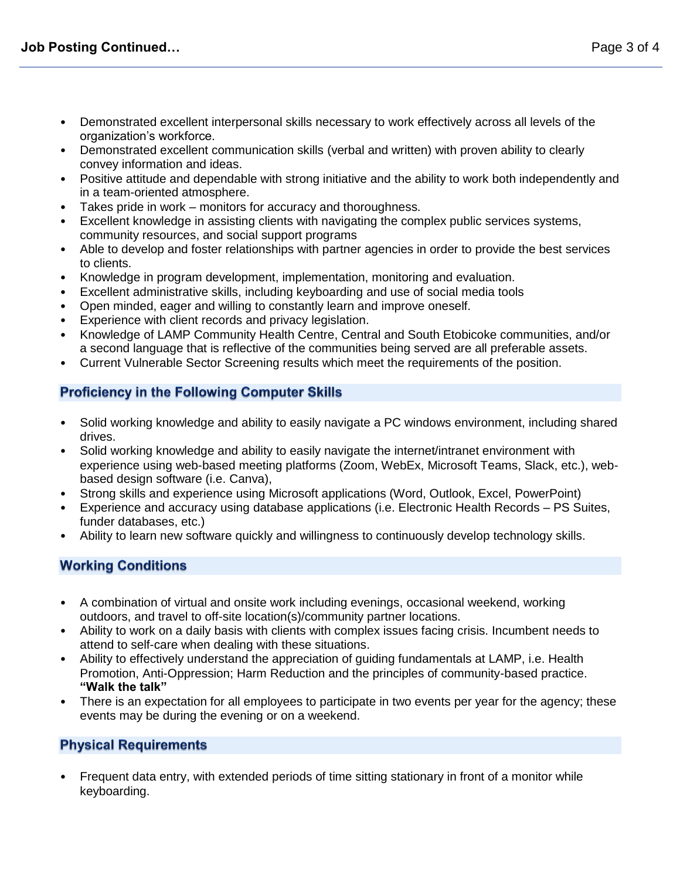- Demonstrated excellent interpersonal skills necessary to work effectively across all levels of the organization's workforce.
- Demonstrated excellent communication skills (verbal and written) with proven ability to clearly convey information and ideas.
- Positive attitude and dependable with strong initiative and the ability to work both independently and in a team-oriented atmosphere.
- Takes pride in work monitors for accuracy and thoroughness.
- Excellent knowledge in assisting clients with navigating the complex public services systems, community resources, and social support programs
- Able to develop and foster relationships with partner agencies in order to provide the best services to clients.
- Knowledge in program development, implementation, monitoring and evaluation.
- Excellent administrative skills, including keyboarding and use of social media tools
- Open minded, eager and willing to constantly learn and improve oneself.
- Experience with client records and privacy legislation.
- Knowledge of LAMP Community Health Centre, Central and South Etobicoke communities, and/or a second language that is reflective of the communities being served are all preferable assets.
- Current Vulnerable Sector Screening results which meet the requirements of the position.

#### **Proficiency in the Following Computer Skills**

- Solid working knowledge and ability to easily navigate a PC windows environment, including shared drives.
- Solid working knowledge and ability to easily navigate the internet/intranet environment with experience using web-based meeting platforms (Zoom, WebEx, Microsoft Teams, Slack, etc.), webbased design software (i.e. Canva),
- Strong skills and experience using Microsoft applications (Word, Outlook, Excel, PowerPoint)
- Experience and accuracy using database applications (i.e. Electronic Health Records PS Suites, funder databases, etc.)
- Ability to learn new software quickly and willingness to continuously develop technology skills.

### **Working Conditions**

- A combination of virtual and onsite work including evenings, occasional weekend, working outdoors, and travel to off-site location(s)/community partner locations.
- Ability to work on a daily basis with clients with complex issues facing crisis. Incumbent needs to attend to self-care when dealing with these situations.
- Ability to effectively understand the appreciation of guiding fundamentals at LAMP, i.e. Health Promotion, Anti-Oppression; Harm Reduction and the principles of community-based practice. **"Walk the talk"**
- There is an expectation for all employees to participate in two events per year for the agency; these events may be during the evening or on a weekend.

#### **Physical Requirements**

• Frequent data entry, with extended periods of time sitting stationary in front of a monitor while keyboarding.